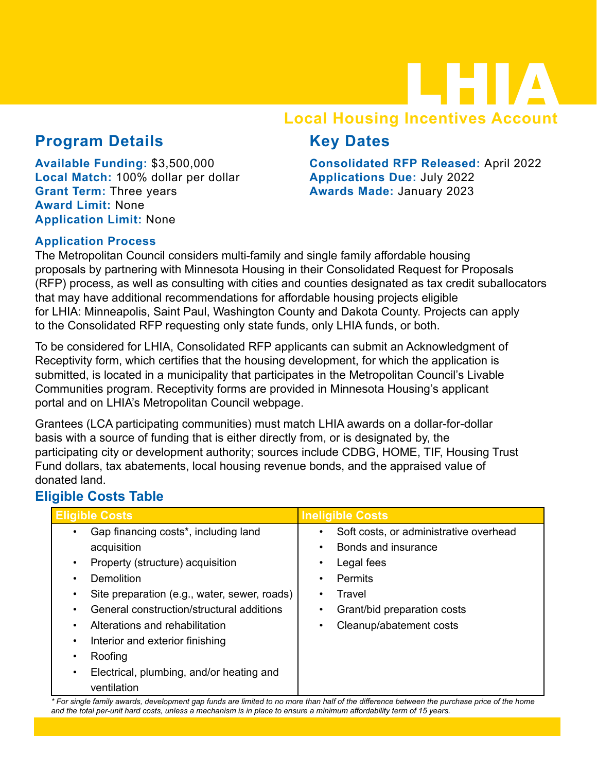## LHIA **Local Housing Incentives Account**

### **Program Details**

**Available Funding:** \$3,500,000 **Local Match:** 100% dollar per dollar **Grant Term:** Three years **Award Limit:** None **Application Limit:** None

**Consolidated RFP Released:** April 2022 **Applications Due:** July 2022 **Awards Made:** January 2023

**Key Dates**

#### **Application Process**

The Metropolitan Council considers multi-family and single family affordable housing proposals by partnering with Minnesota Housing in their Consolidated Request for Proposals (RFP) process, as well as consulting with cities and counties designated as tax credit suballocators that may have additional recommendations for affordable housing projects eligible for LHIA: Minneapolis, Saint Paul, Washington County and Dakota County. Projects can apply to the Consolidated RFP requesting only state funds, only LHIA funds, or both.

To be considered for LHIA, Consolidated RFP applicants can submit an Acknowledgment of Receptivity form, which certifies that the housing development, for which the application is submitted, is located in a municipality that participates in the Metropolitan Council's Livable Communities program. Receptivity forms are provided in Minnesota Housing's applicant portal and on LHIA's Metropolitan Council webpage.

Grantees (LCA participating communities) must match LHIA awards on a dollar-for-dollar basis with a source of funding that is either directly from, or is designated by, the participating city or development authority; sources include CDBG, HOME, TIF, Housing Trust Fund dollars, tax abatements, local housing revenue bonds, and the appraised value of donated land.

#### **Eligible Costs Table**

| <b>Eligible Costs</b>                                        | <b>Ineligible Costs</b>                             |  |
|--------------------------------------------------------------|-----------------------------------------------------|--|
| Gap financing costs <sup>*</sup> , including land            | Soft costs, or administrative overhead<br>$\bullet$ |  |
| acquisition                                                  | Bonds and insurance<br>٠                            |  |
| Property (structure) acquisition                             | Legal fees<br>٠                                     |  |
| Demolition                                                   | <b>Permits</b><br>٠                                 |  |
| Site preparation (e.g., water, sewer, roads)                 | Travel                                              |  |
| General construction/structural additions                    | Grant/bid preparation costs                         |  |
| Alterations and rehabilitation                               | Cleanup/abatement costs<br>٠                        |  |
| Interior and exterior finishing<br>٠                         |                                                     |  |
| Roofing                                                      |                                                     |  |
| Electrical, plumbing, and/or heating and<br>٠<br>ventilation |                                                     |  |

*\* For single family awards, development gap funds are limited to no more than half of the difference between the purchase price of the home and the total per-unit hard costs, unless a mechanism is in place to ensure a minimum affordability term of 15 years.*